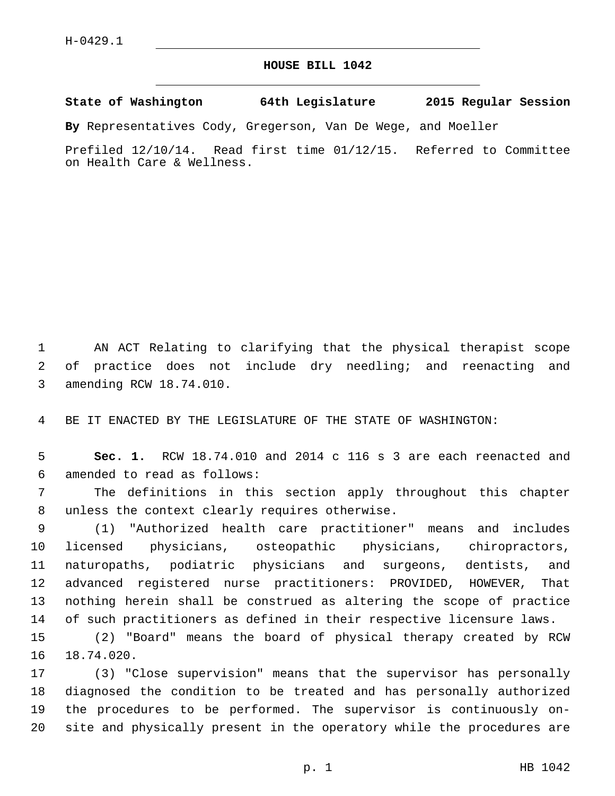## **HOUSE BILL 1042**

**State of Washington 64th Legislature 2015 Regular Session**

**By** Representatives Cody, Gregerson, Van De Wege, and Moeller

Prefiled 12/10/14. Read first time 01/12/15. Referred to Committee on Health Care & Wellness.

1 AN ACT Relating to clarifying that the physical therapist scope 2 of practice does not include dry needling; and reenacting and 3 amending RCW 18.74.010.

4 BE IT ENACTED BY THE LEGISLATURE OF THE STATE OF WASHINGTON:

5 **Sec. 1.** RCW 18.74.010 and 2014 c 116 s 3 are each reenacted and amended to read as follows:6

7 The definitions in this section apply throughout this chapter 8 unless the context clearly requires otherwise.

 (1) "Authorized health care practitioner" means and includes licensed physicians, osteopathic physicians, chiropractors, naturopaths, podiatric physicians and surgeons, dentists, and advanced registered nurse practitioners: PROVIDED, HOWEVER, That nothing herein shall be construed as altering the scope of practice of such practitioners as defined in their respective licensure laws.

15 (2) "Board" means the board of physical therapy created by RCW 16 18.74.020.

 (3) "Close supervision" means that the supervisor has personally diagnosed the condition to be treated and has personally authorized the procedures to be performed. The supervisor is continuously on-site and physically present in the operatory while the procedures are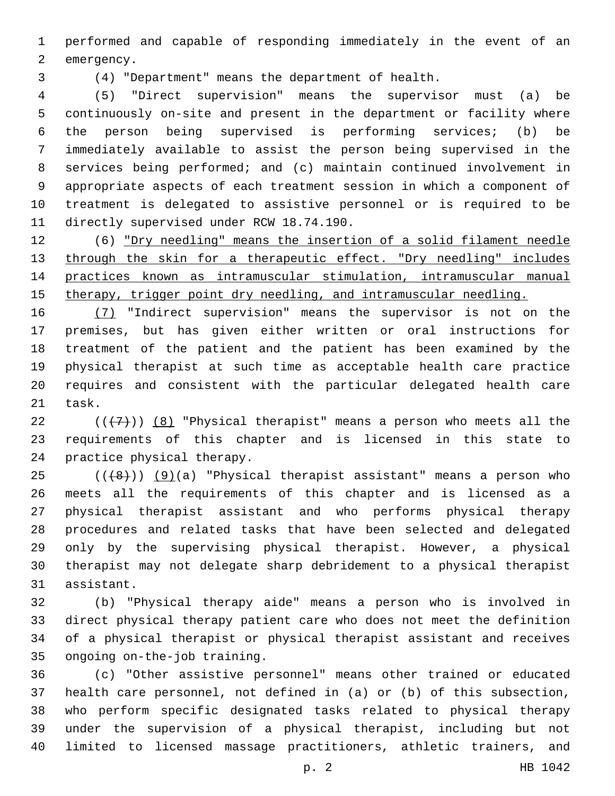performed and capable of responding immediately in the event of an 2 emergency.

(4) "Department" means the department of health.

 (5) "Direct supervision" means the supervisor must (a) be continuously on-site and present in the department or facility where the person being supervised is performing services; (b) be immediately available to assist the person being supervised in the services being performed; and (c) maintain continued involvement in appropriate aspects of each treatment session in which a component of treatment is delegated to assistive personnel or is required to be 11 directly supervised under RCW 18.74.190.

 (6) "Dry needling" means the insertion of a solid filament needle 13 through the skin for a therapeutic effect. "Dry needling" includes practices known as intramuscular stimulation, intramuscular manual 15 therapy, trigger point dry needling, and intramuscular needling.

 (7) "Indirect supervision" means the supervisor is not on the premises, but has given either written or oral instructions for treatment of the patient and the patient has been examined by the physical therapist at such time as acceptable health care practice requires and consistent with the particular delegated health care 21 task.

22  $((+7+))$   $(8)$  "Physical therapist" means a person who meets all the requirements of this chapter and is licensed in this state to 24 practice physical therapy.

 ( $(\overline{+8})$ )  $(9)(a)$  "Physical therapist assistant" means a person who meets all the requirements of this chapter and is licensed as a physical therapist assistant and who performs physical therapy procedures and related tasks that have been selected and delegated only by the supervising physical therapist. However, a physical therapist may not delegate sharp debridement to a physical therapist 31 assistant.

 (b) "Physical therapy aide" means a person who is involved in direct physical therapy patient care who does not meet the definition of a physical therapist or physical therapist assistant and receives 35 ongoing on-the-job training.

 (c) "Other assistive personnel" means other trained or educated health care personnel, not defined in (a) or (b) of this subsection, who perform specific designated tasks related to physical therapy under the supervision of a physical therapist, including but not limited to licensed massage practitioners, athletic trainers, and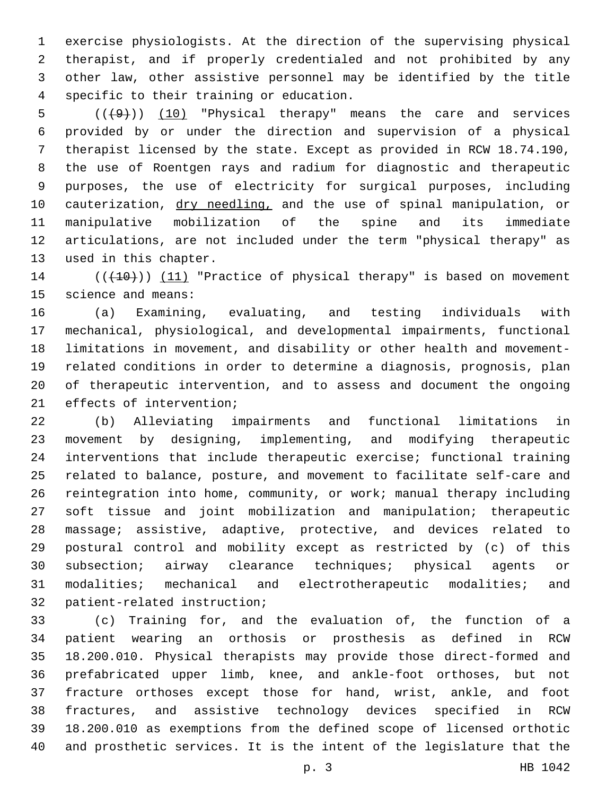exercise physiologists. At the direction of the supervising physical therapist, and if properly credentialed and not prohibited by any other law, other assistive personnel may be identified by the title specific to their training or education.4

 $((+9))$   $(10)$  "Physical therapy" means the care and services provided by or under the direction and supervision of a physical therapist licensed by the state. Except as provided in RCW 18.74.190, the use of Roentgen rays and radium for diagnostic and therapeutic purposes, the use of electricity for surgical purposes, including 10 cauterization, dry needling, and the use of spinal manipulation, or manipulative mobilization of the spine and its immediate articulations, are not included under the term "physical therapy" as 13 used in this chapter.

14 (( $(10)$ )) (11) "Practice of physical therapy" is based on movement 15 science and means:

 (a) Examining, evaluating, and testing individuals with mechanical, physiological, and developmental impairments, functional limitations in movement, and disability or other health and movement- related conditions in order to determine a diagnosis, prognosis, plan of therapeutic intervention, and to assess and document the ongoing 21 effects of intervention;

 (b) Alleviating impairments and functional limitations in movement by designing, implementing, and modifying therapeutic interventions that include therapeutic exercise; functional training related to balance, posture, and movement to facilitate self-care and reintegration into home, community, or work; manual therapy including soft tissue and joint mobilization and manipulation; therapeutic massage; assistive, adaptive, protective, and devices related to postural control and mobility except as restricted by (c) of this subsection; airway clearance techniques; physical agents or modalities; mechanical and electrotherapeutic modalities; and 32 patient-related instruction;

 (c) Training for, and the evaluation of, the function of a patient wearing an orthosis or prosthesis as defined in RCW 18.200.010. Physical therapists may provide those direct-formed and prefabricated upper limb, knee, and ankle-foot orthoses, but not fracture orthoses except those for hand, wrist, ankle, and foot fractures, and assistive technology devices specified in RCW 18.200.010 as exemptions from the defined scope of licensed orthotic and prosthetic services. It is the intent of the legislature that the

p. 3 HB 1042